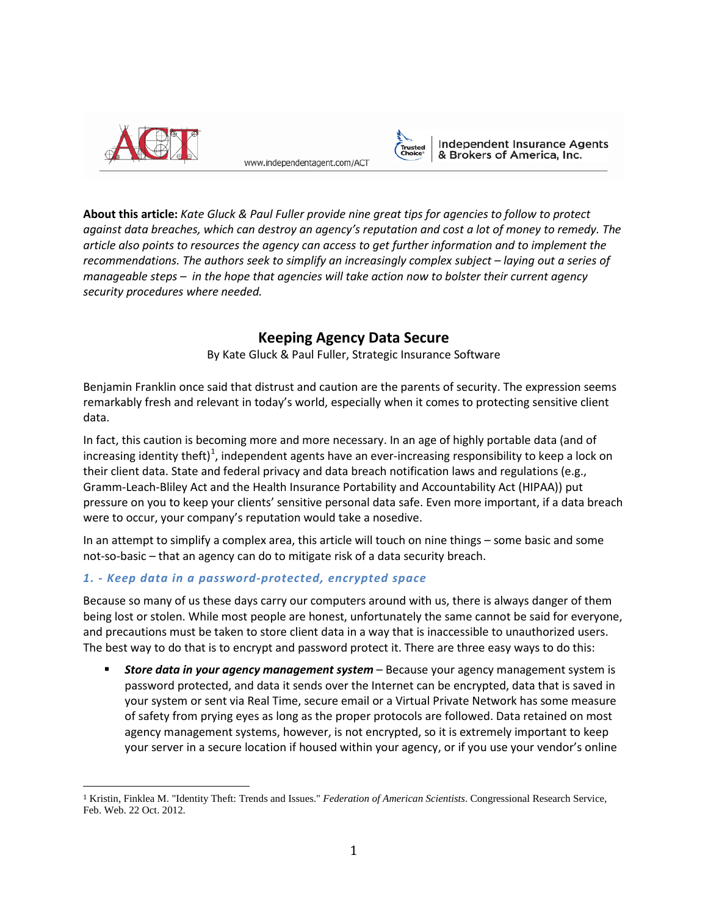

www.independentagent.com/ACT



**Independent Insurance Agents** & Brokers of America, Inc.

**About this article:** *Kate Gluck & Paul Fuller provide nine great tips for agencies to follow to protect against data breaches, which can destroy an agency's reputation and cost a lot of money to remedy. The article also points to resources the agency can access to get further information and to implement the recommendations. The authors seek to simplify an increasingly complex subject – laying out a series of manageable steps – in the hope that agencies will take action now to bolster their current agency security procedures where needed.*

# **Keeping Agency Data Secure**

By Kate Gluck & Paul Fuller, Strategic Insurance Software

Benjamin Franklin once said that distrust and caution are the parents of security. The expression seems remarkably fresh and relevant in today's world, especially when it comes to protecting sensitive client data.

In fact, this caution is becoming more and more necessary. In an age of highly portable data (and of increasing identity theft)<sup>[1](#page-0-0)</sup>, independent agents have an ever-increasing responsibility to keep a lock on their client data. State and federal privacy and data breach notification laws and regulations (e.g., Gramm-Leach-Bliley Act and the Health Insurance Portability and Accountability Act (HIPAA)) put pressure on you to keep your clients' sensitive personal data safe. Even more important, if a data breach were to occur, your company's reputation would take a nosedive.

In an attempt to simplify a complex area, this article will touch on nine things – some basic and some not-so-basic – that an agency can do to mitigate risk of a data security breach.

# *1. - Keep data in a password-protected, encrypted space*

Because so many of us these days carry our computers around with us, there is always danger of them being lost or stolen. While most people are honest, unfortunately the same cannot be said for everyone, and precautions must be taken to store client data in a way that is inaccessible to unauthorized users. The best way to do that is to encrypt and password protect it. There are three easy ways to do this:

 *Store data in your agency management system* – Because your agency management system is password protected, and data it sends over the Internet can be encrypted, data that is saved in your system or sent via Real Time, secure email or a Virtual Private Network has some measure of safety from prying eyes as long as the proper protocols are followed. Data retained on most agency management systems, however, is not encrypted, so it is extremely important to keep your server in a secure location if housed within your agency, or if you use your vendor's online

<span id="page-0-0"></span> <sup>1</sup> Kristin, Finklea M. "Identity Theft: Trends and Issues." *Federation of American Scientists*. Congressional Research Service, Feb. Web. 22 Oct. 2012.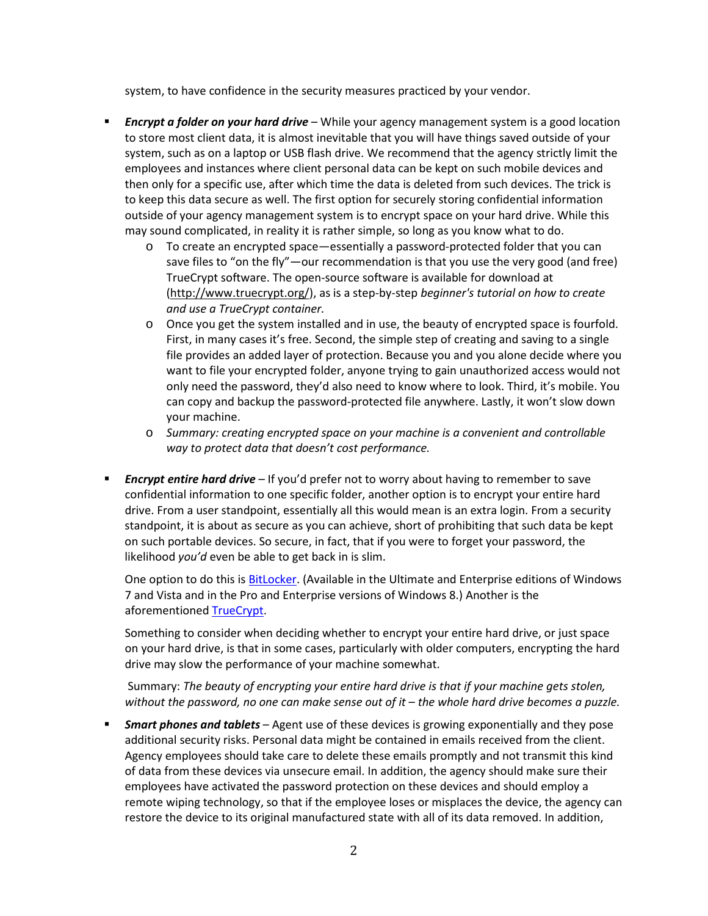system, to have confidence in the security measures practiced by your vendor.

- *Encrypt a folder on your hard drive* While your agency management system is a good location to store most client data, it is almost inevitable that you will have things saved outside of your system, such as on a laptop or USB flash drive. We recommend that the agency strictly limit the employees and instances where client personal data can be kept on such mobile devices and then only for a specific use, after which time the data is deleted from such devices. The trick is to keep this data secure as well. The first option for securely storing confidential information outside of your agency management system is to encrypt space on your hard drive. While this may sound complicated, in reality it is rather simple, so long as you know what to do.
	- o To create an encrypted space—essentially a password-protected folder that you can save files to "on the fly"—our recommendation is that you use the very good (and free) TrueCrypt software. The open-source software is available for download at [\(http://www.truecrypt.org/\)](http://www.truecrypt.org/), as is a step-by-step *[beginner's tutorial on how to create](http://www.truecrypt.org/docs/)  [and use a TrueCrypt container.](http://www.truecrypt.org/docs/)*
	- o Once you get the system installed and in use, the beauty of encrypted space is fourfold. First, in many cases it's free. Second, the simple step of creating and saving to a single file provides an added layer of protection. Because you and you alone decide where you want to file your encrypted folder, anyone trying to gain unauthorized access would not only need the password, they'd also need to know where to look. Third, it's mobile. You can copy and backup the password-protected file anywhere. Lastly, it won't slow down your machine.
	- o *Summary: creating encrypted space on your machine is a convenient and controllable way to protect data that doesn't cost performance.*
- *Encrypt entire hard drive* If you'd prefer not to worry about having to remember to save confidential information to one specific folder, another option is to encrypt your entire hard drive. From a user standpoint, essentially all this would mean is an extra login. From a security standpoint, it is about as secure as you can achieve, short of prohibiting that such data be kept on such portable devices. So secure, in fact, that if you were to forget your password, the likelihood *you'd* even be able to get back in is slim.

One option to do this is [BitLocker.](http://technet.microsoft.com/en-us/library/hh831507.aspx) (Available in the Ultimate and Enterprise editions of Windows 7 and Vista and in the Pro and Enterprise versions of Windows 8.) Another is the aforementioned [TrueCrypt.](http://www.truecrypt.org/)

Something to consider when deciding whether to encrypt your entire hard drive, or just space on your hard drive, is that in some cases, particularly with older computers, encrypting the hard drive may slow the performance of your machine somewhat.

Summary: *The beauty of encrypting your entire hard drive is that if your machine gets stolen, without the password, no one can make sense out of it – the whole hard drive becomes a puzzle.* 

 *Smart phones and tablets* – Agent use of these devices is growing exponentially and they pose additional security risks. Personal data might be contained in emails received from the client. Agency employees should take care to delete these emails promptly and not transmit this kind of data from these devices via unsecure email. In addition, the agency should make sure their employees have activated the password protection on these devices and should employ a remote wiping technology, so that if the employee loses or misplaces the device, the agency can restore the device to its original manufactured state with all of its data removed. In addition,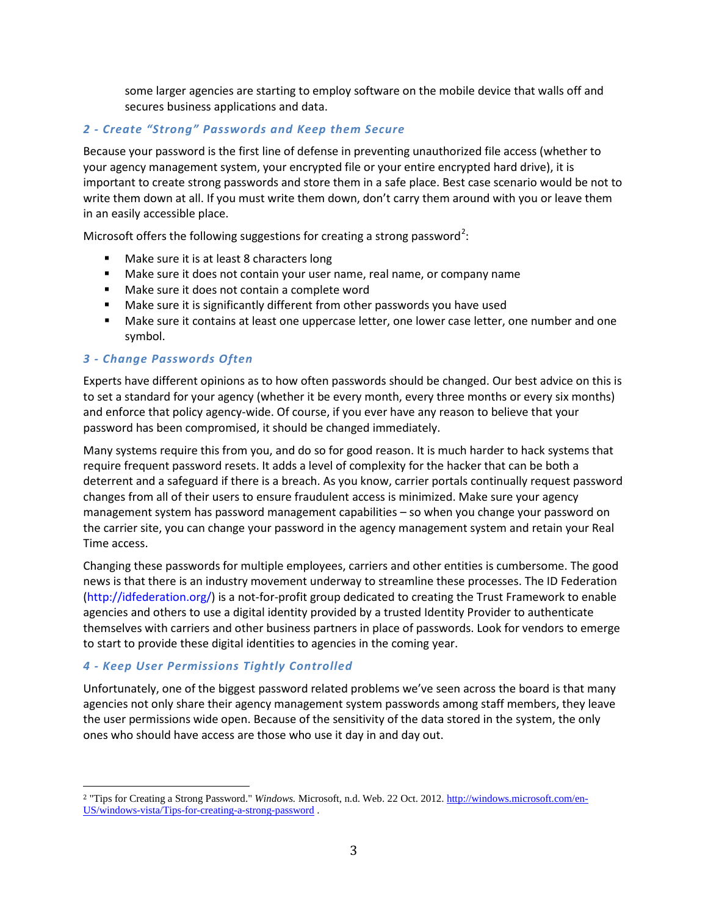some larger agencies are starting to employ software on the mobile device that walls off and secures business applications and data.

# *2 - Create "Strong" Passwords and Keep them Secure*

Because your password is the first line of defense in preventing unauthorized file access (whether to your agency management system, your encrypted file or your entire encrypted hard drive), it is important to create strong passwords and store them in a safe place. Best case scenario would be not to write them down at all. If you must write them down, don't carry them around with you or leave them in an easily accessible place.

Microsoft offers the following suggestions for creating a strong password<sup>[2](#page-2-0)</sup>:

- Make sure it is at least 8 characters long
- **Make sure it does not contain your user name, real name, or company name**
- Make sure it does not contain a complete word
- **Make sure it is significantly different from other passwords you have used**
- **Make sure it contains at least one uppercase letter, one lower case letter, one number and one** symbol.

#### *3 - Change Passwords Often*

Experts have different opinions as to how often passwords should be changed. Our best advice on this is to set a standard for your agency (whether it be every month, every three months or every six months) and enforce that policy agency-wide. Of course, if you ever have any reason to believe that your password has been compromised, it should be changed immediately.

Many systems require this from you, and do so for good reason. It is much harder to hack systems that require frequent password resets. It adds a level of complexity for the hacker that can be both a deterrent and a safeguard if there is a breach. As you know, carrier portals continually request password changes from all of their users to ensure fraudulent access is minimized. Make sure your agency management system has password management capabilities – so when you change your password on the carrier site, you can change your password in the agency management system and retain your Real Time access.

Changing these passwords for multiple employees, carriers and other entities is cumbersome. The good news is that there is an industry movement underway to streamline these processes. The ID Federation [\(http://idfederation.org/\)](http://idfederation.org/) is a not-for-profit group dedicated to creating the Trust Framework to enable agencies and others to use a digital identity provided by a trusted Identity Provider to authenticate themselves with carriers and other business partners in place of passwords. Look for vendors to emerge to start to provide these digital identities to agencies in the coming year.

#### *4 - Keep User Permissions Tightly Controlled*

Unfortunately, one of the biggest password related problems we've seen across the board is that many agencies not only share their agency management system passwords among staff members, they leave the user permissions wide open. Because of the sensitivity of the data stored in the system, the only ones who should have access are those who use it day in and day out.

<span id="page-2-0"></span> <sup>2</sup> "Tips for Creating a Strong Password." *Windows.* Microsoft, n.d. Web. 22 Oct. 2012[. http://windows.microsoft.com/en-](http://windows.microsoft.com/en-US/windows-vista/Tips-for-creating-a-strong-password)[US/windows-vista/Tips-for-creating-a-strong-password](http://windows.microsoft.com/en-US/windows-vista/Tips-for-creating-a-strong-password) .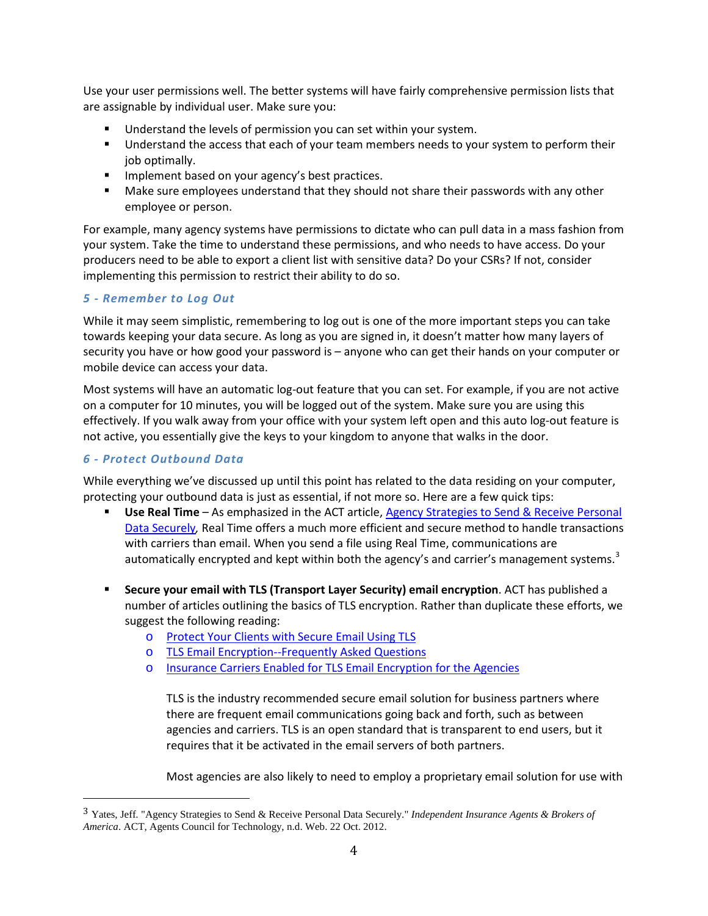Use your user permissions well. The better systems will have fairly comprehensive permission lists that are assignable by individual user. Make sure you:

- **Understand the levels of permission you can set within your system.**
- **Understand the access that each of your team members needs to your system to perform their** job optimally.
- **IMPLEMENT COVERGENCE IN STATE IMPLEMENT IN STATE IN THE IMAGE IS STATE IMAGES.**
- **Make sure employees understand that they should not share their passwords with any other** employee or person.

For example, many agency systems have permissions to dictate who can pull data in a mass fashion from your system. Take the time to understand these permissions, and who needs to have access. Do your producers need to be able to export a client list with sensitive data? Do your CSRs? If not, consider implementing this permission to restrict their ability to do so.

#### *5 - Remember to Log Out*

While it may seem simplistic, remembering to log out is one of the more important steps you can take towards keeping your data secure. As long as you are signed in, it doesn't matter how many layers of security you have or how good your password is – anyone who can get their hands on your computer or mobile device can access your data.

Most systems will have an automatic log-out feature that you can set. For example, if you are not active on a computer for 10 minutes, you will be logged out of the system. Make sure you are using this effectively. If you walk away from your office with your system left open and this auto log-out feature is not active, you essentially give the keys to your kingdom to anyone that walks in the door.

### *6 - Protect Outbound Data*

While everything we've discussed up until this point has related to the data residing on your computer, protecting your outbound data is just as essential, if not more so. Here are a few quick tips:

- **Use Real Time** As emphasized in the ACT article[, Agency Strategies to Send & Receive Personal](http://www.independentagent.com/Resources/AgencyManagement/ACT/Pages/planning/SecurityPrivacy/ACT_strategies-personal-data.aspx)  [Data Securely](http://www.independentagent.com/Resources/AgencyManagement/ACT/Pages/planning/SecurityPrivacy/ACT_strategies-personal-data.aspx)*,* Real Time offers a much more efficient and secure method to handle transactions with carriers than email. When you send a file using Real Time, communications are automatically encrypted and kept within both the agency's and carrier's management systems.<sup>[3](#page-3-0)</sup>
- **Secure your email with TLS (Transport Layer Security) email encryption**. ACT has published a number of articles outlining the basics of TLS encryption. Rather than duplicate these efforts, we suggest the following reading:
	- o [Protect Your Clients with Secure Email Using TLS](http://www.independentagent.com/Resources/AgencyManagement/ACT/Pages/planning/SecurityPrivacy/ACT_1208.aspx)
	- o [TLS Email Encryption--Frequently Asked Questions](http://www.independentagent.com/Resources/AgencyManagement/ACT/Pages/planning/SecurityPrivacy/ACT_TLSFAQ.aspx)
	- o [Insurance Carriers Enabled for TLS Email Encryption for the Agencies](http://www.independentagent.com/Resources/AgencyManagement/ACT/Pages/planning/SecurityPrivacy/ACT_CarrierTLS.aspx)

TLS is the industry recommended secure email solution for business partners where there are frequent email communications going back and forth, such as between agencies and carriers. TLS is an open standard that is transparent to end users, but it requires that it be activated in the email servers of both partners.

Most agencies are also likely to need to employ a proprietary email solution for use with

<span id="page-3-0"></span> <sup>3</sup> Yates, Jeff. "Agency Strategies to Send & Receive Personal Data Securely." *Independent Insurance Agents & Brokers of America*. ACT, Agents Council for Technology, n.d. Web. 22 Oct. 2012.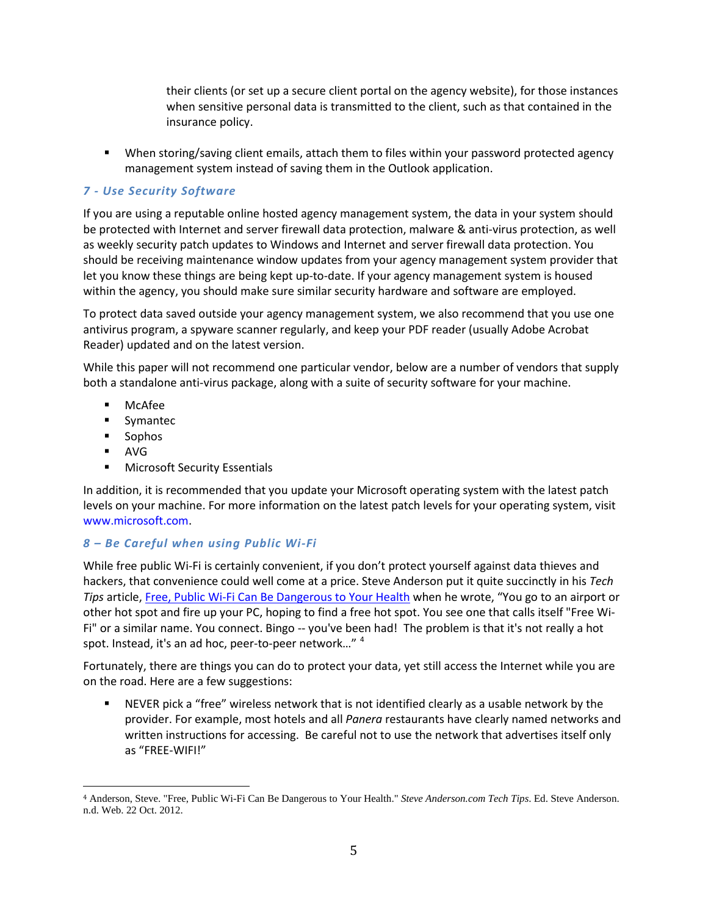their clients (or set up a secure client portal on the agency website), for those instances when sensitive personal data is transmitted to the client, such as that contained in the insurance policy.

 When storing/saving client emails, attach them to files within your password protected agency management system instead of saving them in the Outlook application.

#### *7 - Use Security Software*

If you are using a reputable online hosted agency management system, the data in your system should be protected with Internet and server firewall data protection, malware & anti-virus protection, as well as weekly security patch updates to Windows and Internet and server firewall data protection. You should be receiving maintenance window updates from your agency management system provider that let you know these things are being kept up-to-date. If your agency management system is housed within the agency, you should make sure similar security hardware and software are employed.

To protect data saved outside your agency management system, we also recommend that you use one antivirus program, a spyware scanner regularly, and keep your PDF reader (usually Adobe Acrobat Reader) updated and on the latest version.

While this paper will not recommend one particular vendor, below are a number of vendors that supply both a standalone anti-virus package, along with a suite of security software for your machine.

- **■** McAfee
- **Symantec**
- **Sophos**
- AVG
- **Microsoft Security Essentials**

In addition, it is recommended that you update your Microsoft operating system with the latest patch levels on your machine. For more information on the latest patch levels for your operating system, visit [www.microsoft.com.](http://www.microsoft.com/)

#### *8 – Be Careful when using Public Wi-Fi*

While free public Wi-Fi is certainly convenient, if you don't protect yourself against data thieves and hackers, that convenience could well come at a price. Steve Anderson put it quite succinctly in his *Tech Tips* article[, Free, Public Wi-Fi Can Be Dangerous to Your Health](http://techtips.steveanderson.com/2012/06/07/free-public-wi-fi-can-be-dangerous-to-your-health/) when he wrote, "You go to an airport or other hot spot and fire up your PC, hoping to find a free hot spot. You see one that calls itself "Free Wi-Fi" or a similar name. You connect. Bingo -- you've been had! The problem is that it's not really a hot spot. Instead, it's an ad hoc, peer-to-peer network..." <sup>[4](#page-4-0)</sup>

Fortunately, there are things you can do to protect your data, yet still access the Internet while you are on the road. Here are a few suggestions:

 NEVER pick a "free" wireless network that is not identified clearly as a usable network by the provider. For example, most hotels and all *Panera* restaurants have clearly named networks and written instructions for accessing. Be careful not to use the network that advertises itself only as "FREE-WIFI!"

<span id="page-4-0"></span> <sup>4</sup> Anderson, Steve. "Free, Public Wi-Fi Can Be Dangerous to Your Health." *Steve Anderson.com Tech Tips*. Ed. Steve Anderson. n.d. Web. 22 Oct. 2012.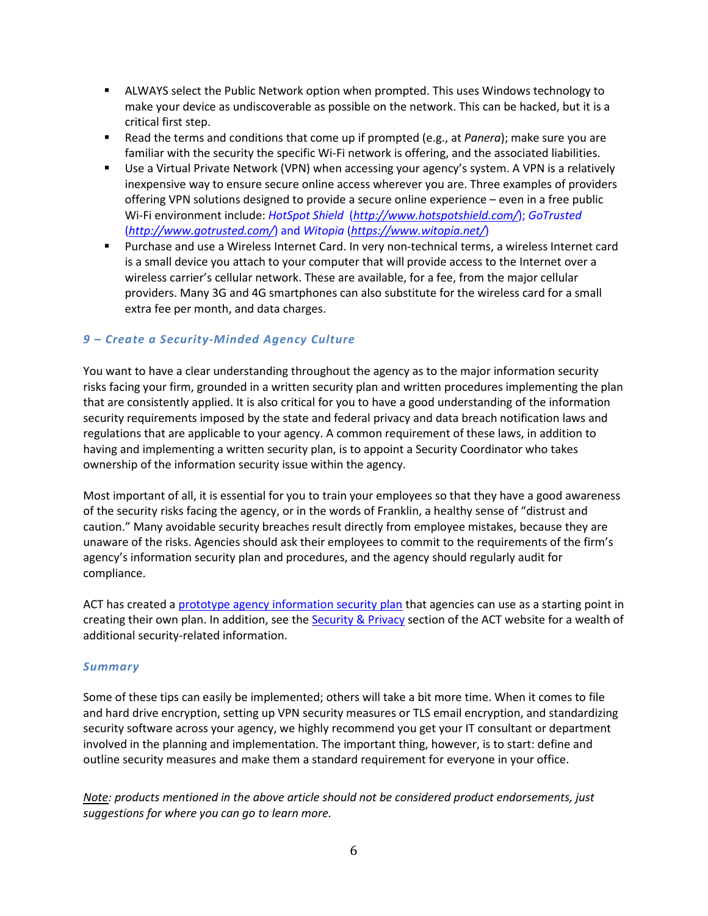- ALWAYS select the Public Network option when prompted. This uses Windows technology to make your device as undiscoverable as possible on the network. This can be hacked, but it is a critical first step.
- Read the terms and conditions that come up if prompted (e.g., at *Panera*); make sure you are familiar with the security the specific Wi-Fi network is offering, and the associated liabilities.
- Use a Virtual Private Network (VPN) when accessing your agency's system. A VPN is a relatively inexpensive way to ensure secure online access wherever you are. Three examples of providers offering VPN solutions designed to provide a secure online experience – even in a free public Wi-Fi environment include: *[HotSpot Shield](http://www.hotspotshield.com/)* (*<http://www.hotspotshield.com/>*); *[GoTrusted](http://www.gotrusted.com/)* (*<http://www.gotrusted.com/>*) and *[Witopia](https://www.witopia.net/)* (*<https://www.witopia.net/>*)
- Purchase and use a Wireless Internet Card. In very non-technical terms, a wireless Internet card is a small device you attach to your computer that will provide access to the Internet over a wireless carrier's cellular network. These are available, for a fee, from the major cellular providers. Many 3G and 4G smartphones can also substitute for the wireless card for a small extra fee per month, and data charges.

# *9 – Create a Security-Minded Agency Culture*

You want to have a clear understanding throughout the agency as to the major information security risks facing your firm, grounded in a written security plan and written procedures implementing the plan that are consistently applied. It is also critical for you to have a good understanding of the information security requirements imposed by the state and federal privacy and data breach notification laws and regulations that are applicable to your agency. A common requirement of these laws, in addition to having and implementing a written security plan, is to appoint a Security Coordinator who takes ownership of the information security issue within the agency.

Most important of all, it is essential for you to train your employees so that they have a good awareness of the security risks facing the agency, or in the words of Franklin, a healthy sense of "distrust and caution." Many avoidable security breaches result directly from employee mistakes, because they are unaware of the risks. Agencies should ask their employees to commit to the requirements of the firm's agency's information security plan and procedures, and the agency should regularly audit for compliance.

ACT has created a prototype [agency information security plan](http://www.independentagent.com/Resources/AgencyManagement/ACT/Pages/planning/SecurityPrivacy/PrototypeSecurityPlan_091310.aspx) that agencies can use as a starting point in creating their own plan. In addition, see the [Security & Privacy](http://www.independentagent.com/Resources/AgencyManagement/ACT/Pages/planning/SecurityPrivacy/default.aspx) section of the ACT website for a wealth of additional security-related information.

#### *Summary*

Some of these tips can easily be implemented; others will take a bit more time. When it comes to file and hard drive encryption, setting up VPN security measures or TLS email encryption, and standardizing security software across your agency, we highly recommend you get your IT consultant or department involved in the planning and implementation. The important thing, however, is to start: define and outline security measures and make them a standard requirement for everyone in your office.

*Note: products mentioned in the above article should not be considered product endorsements, just suggestions for where you can go to learn more.*